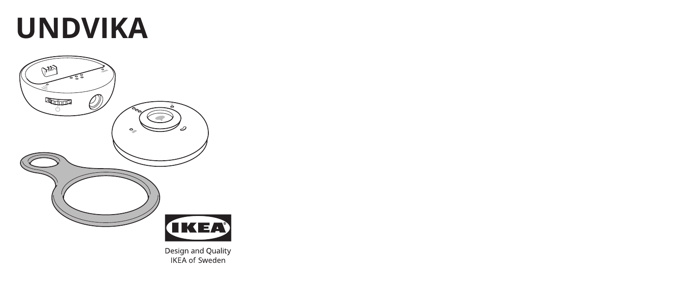# **UNDVIKA**



Design and Quality **IKEA** of Sweden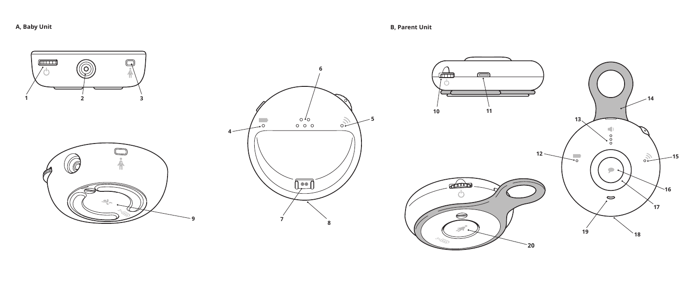**A, Baby Unit B, Parent Unit**

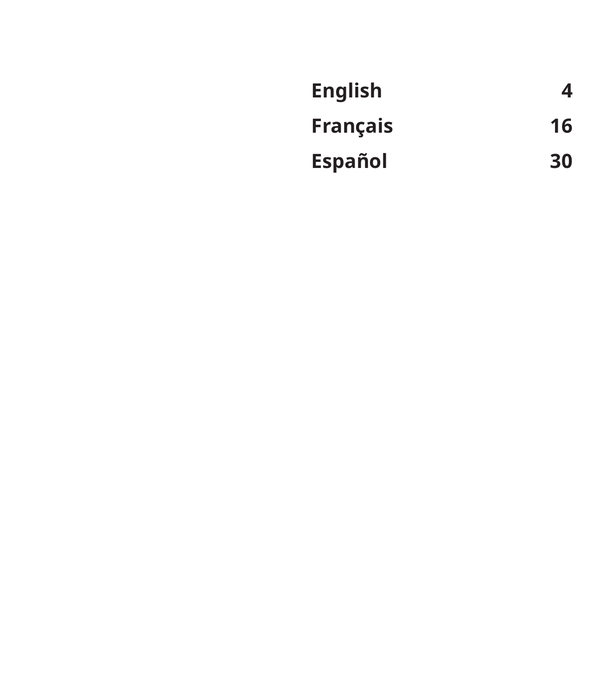| <b>English</b>  | 4  |
|-----------------|----|
| <b>Français</b> | 16 |
| <b>Español</b>  | 30 |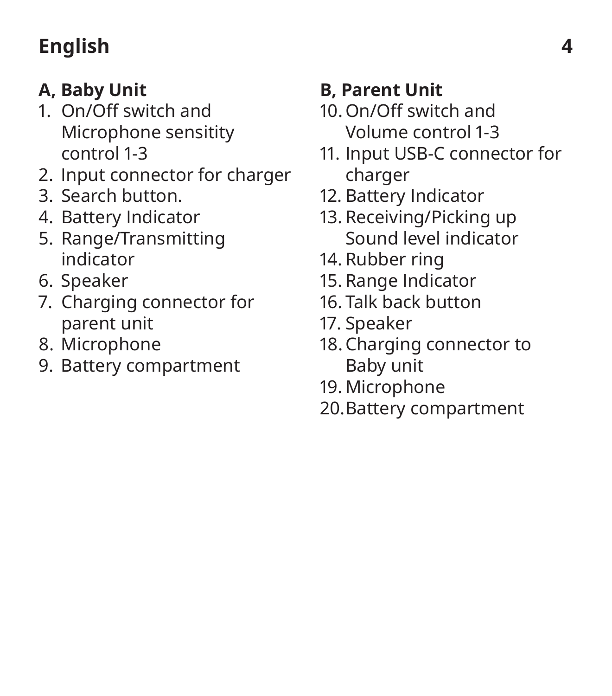### **English 4**

### **A, Baby Unit**

- 1. On/Off switch and Microphone sensitity control 1-3
- 2. Input connector for charger
- 3. Search button.
- 4. Battery Indicator
- 5. Range/Transmitting indicator
- 6. Speaker
- 7. Charging connector for parent unit
- 8. Microphone
- 9. Battery compartment

### **B, Parent Unit**

- 10. On/Off switch and Volume control 1-3
- 11. Input USB-C connector for charger
- 12. Battery Indicator
- 13. Receiving/Picking up Sound level indicator
- 14. Rubber ring
- 15. Range Indicator
- 16. Talk back button
- 17. Speaker
- 18. Charging connector to Baby unit
- 19. Microphone
- 20. Battery compartment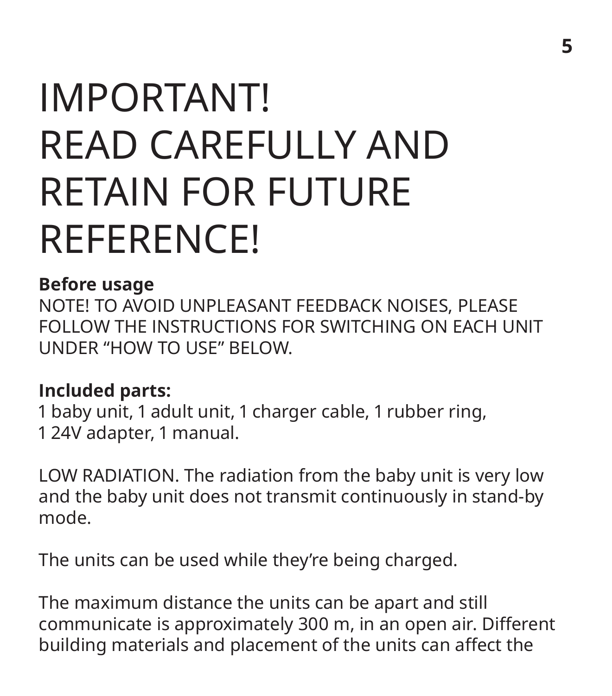### IMPORTANT! READ CAREFULLY AND RETAIN FOR FUTURE REFERENCE!

#### **Before usage**

NOTE! TO AVOID UNPLEASANT FEEDBACK NOISES, PLEASE FOLLOW THE INSTRUCTIONS FOR SWITCHING ON EACH UNIT UNDER "HOW TO USE" BELOW.

#### **Included parts:**

1 baby unit, 1 adult unit, 1 charger cable, 1 rubber ring, 1 24V adapter, 1 manual.

LOW RADIATION. The radiation from the baby unit is very low and the baby unit does not transmit continuously in stand-by mode.

The units can be used while they're being charged.

The maximum distance the units can be apart and still communicate is approximately 300 m, in an open air. Different building materials and placement of the units can affect the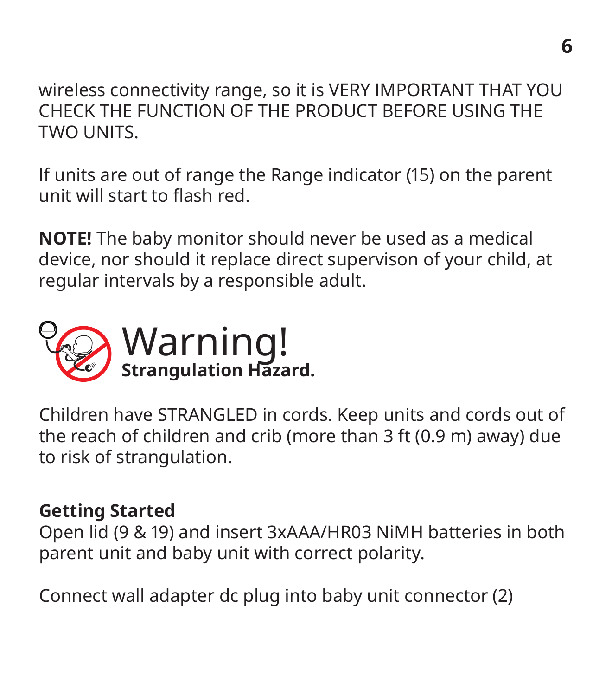wireless connectivity range, so it is VERY IMPORTANT THAT YOU CHECK THE FUNCTION OF THE PRODUCT BEFORE USING THE TWO UNITS.

If units are out of range the Range indicator (15) on the parent unit will start to flash red.

**NOTE!** The baby monitor should never be used as a medical device, nor should it replace direct supervison of your child, at regular intervals by a responsible adult.



Children have STRANGLED in cords. Keep units and cords out of the reach of children and crib (more than 3 ft (0.9 m) away) due to risk of strangulation.

#### **Getting Started**

Open lid (9 & 19) and insert 3xAAA/HR03 NiMH batteries in both parent unit and baby unit with correct polarity.

Connect wall adapter dc plug into baby unit connector (2)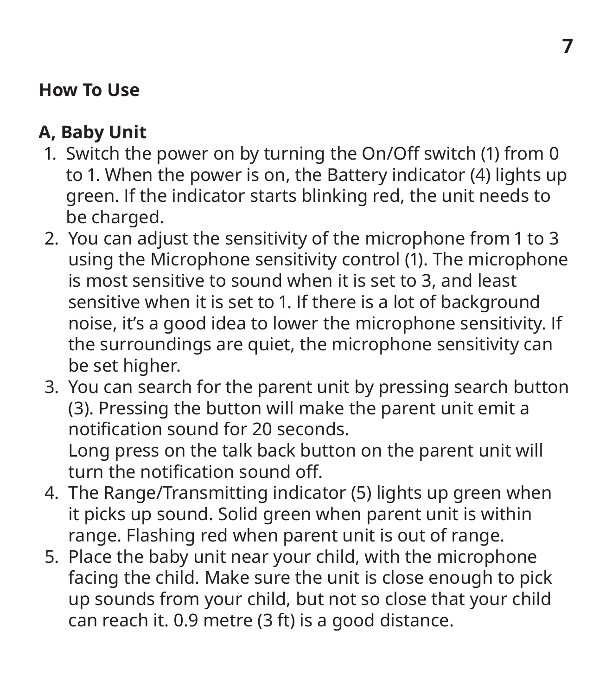### **How To Use**

### **A, Baby Unit**

- 1. Switch the power on by turning the On/Off switch (1) from 0 to 1. When the power is on, the Battery indicator (4) lights up green. If the indicator starts blinking red, the unit needs to be charged.
- 2. You can adjust the sensitivity of the microphone from 1 to 3 using the Microphone sensitivity control (1). The microphone is most sensitive to sound when it is set to 3, and least sensitive when it is set to 1. If there is a lot of background noise, it's a good idea to lower the microphone sensitivity. If the surroundings are quiet, the microphone sensitivity can be set higher.
- 3. You can search for the parent unit by pressing search button (3). Pressing the button will make the parent unit emit a notification sound for 20 seconds. Long press on the talk back button on the parent unit will turn the notification sound off.
- 4. The Range/Transmitting indicator (5) lights up green when it picks up sound. Solid green when parent unit is within range. Flashing red when parent unit is out of range.
- 5. Place the baby unit near your child, with the microphone facing the child. Make sure the unit is close enough to pick up sounds from your child, but not so close that your child can reach it. 0.9 metre (3 ft) is a good distance.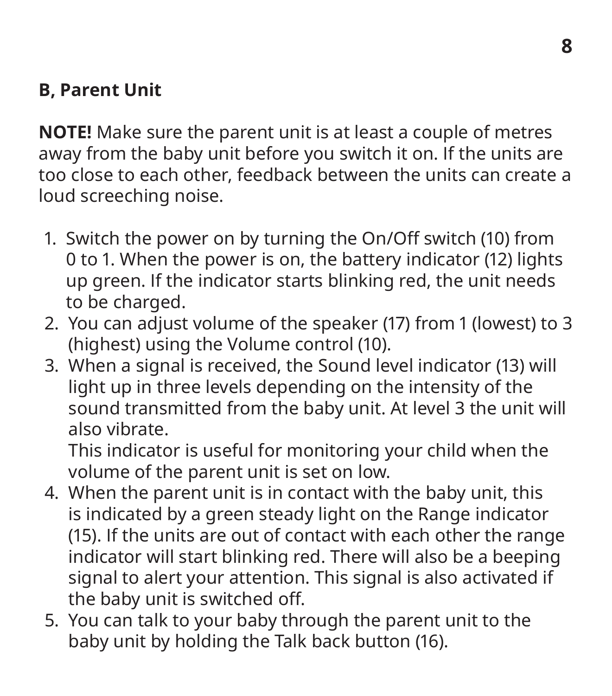### **B, Parent Unit**

**NOTE!** Make sure the parent unit is at least a couple of metres away from the baby unit before you switch it on. If the units are too close to each other, feedback between the units can create a loud screeching noise.

- 1. Switch the power on by turning the On/Off switch (10) from 0 to 1. When the power is on, the battery indicator (12) lights up green. If the indicator starts blinking red, the unit needs to be charged.
- 2. You can adjust volume of the speaker (17) from 1 (lowest) to 3 (highest) using the Volume control (10).
- 3. When a signal is received, the Sound level indicator (13) will light up in three levels depending on the intensity of the sound transmitted from the baby unit. At level 3 the unit will also vibrate.

This indicator is useful for monitoring your child when the volume of the parent unit is set on low.

- 4. When the parent unit is in contact with the baby unit, this is indicated by a green steady light on the Range indicator (15). If the units are out of contact with each other the range indicator will start blinking red. There will also be a beeping signal to alert your attention. This signal is also activated if the baby unit is switched off.
- 5. You can talk to your baby through the parent unit to the baby unit by holding the Talk back button (16).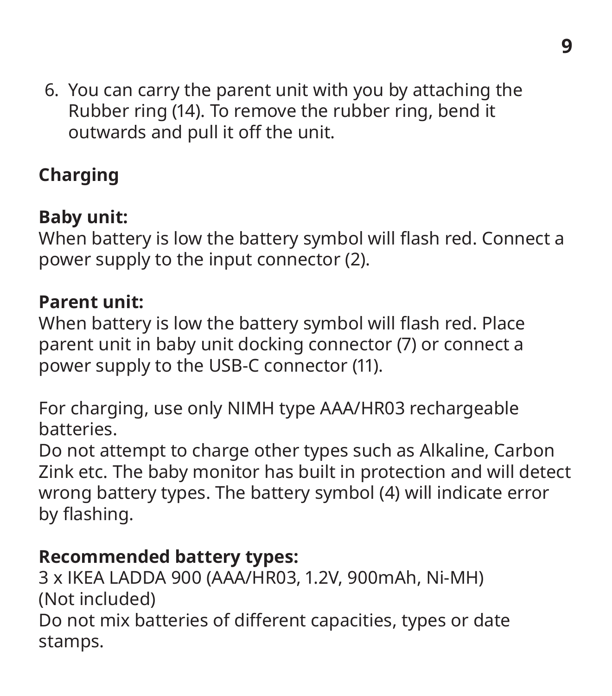6. You can carry the parent unit with you by attaching the Rubber ring (14). To remove the rubber ring, bend it outwards and pull it off the unit.

### **Charging**

### **Baby unit:**

When battery is low the battery symbol will flash red. Connect a power supply to the input connector (2).

#### **Parent unit:**

When battery is low the battery symbol will flash red. Place parent unit in baby unit docking connector (7) or connect a power supply to the USB-C connector (11).

For charging, use only NIMH type AAA/HR03 rechargeable batteries.

Do not attempt to charge other types such as Alkaline, Carbon Zink etc. The baby monitor has built in protection and will detect wrong battery types. The battery symbol (4) will indicate error by flashing.

#### **Recommended battery types:**

3 x IKEA LADDA 900 (AAA/HR03, 1.2V, 900mAh, Ni-MH) (Not included) Do not mix batteries of different capacities, types or date stamps.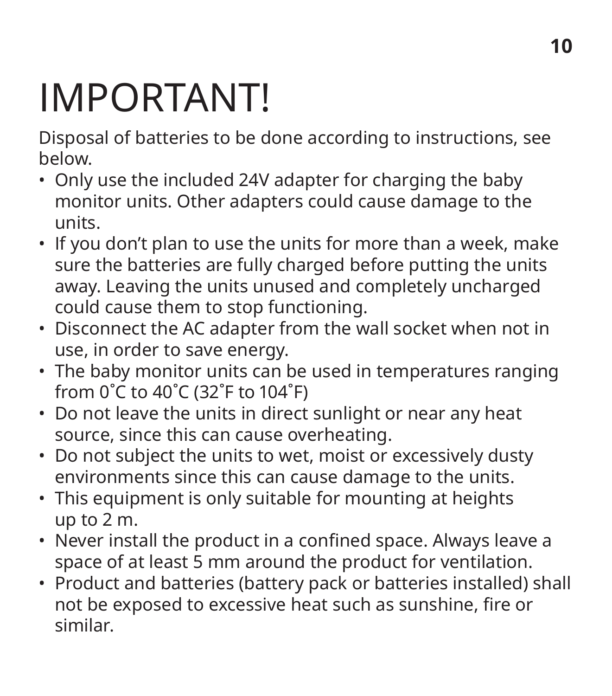### IMPORTANT!

Disposal of batteries to be done according to instructions, see below.

- Only use the included 24V adapter for charging the baby monitor units. Other adapters could cause damage to the units.
- If you don't plan to use the units for more than a week, make sure the batteries are fully charged before putting the units away. Leaving the units unused and completely uncharged could cause them to stop functioning.
- Disconnect the AC adapter from the wall socket when not in use, in order to save energy.
- The baby monitor units can be used in temperatures ranging from 0˚C to 40˚C (32˚F to 104˚F)
- Do not leave the units in direct sunlight or near any heat source, since this can cause overheating.
- Do not subject the units to wet, moist or excessively dusty environments since this can cause damage to the units.
- This equipment is only suitable for mounting at heights up to 2 m.
- Never install the product in a confined space. Always leave a space of at least 5 mm around the product for ventilation.
- Product and batteries (battery pack or batteries installed) shall not be exposed to excessive heat such as sunshine, fire or similar.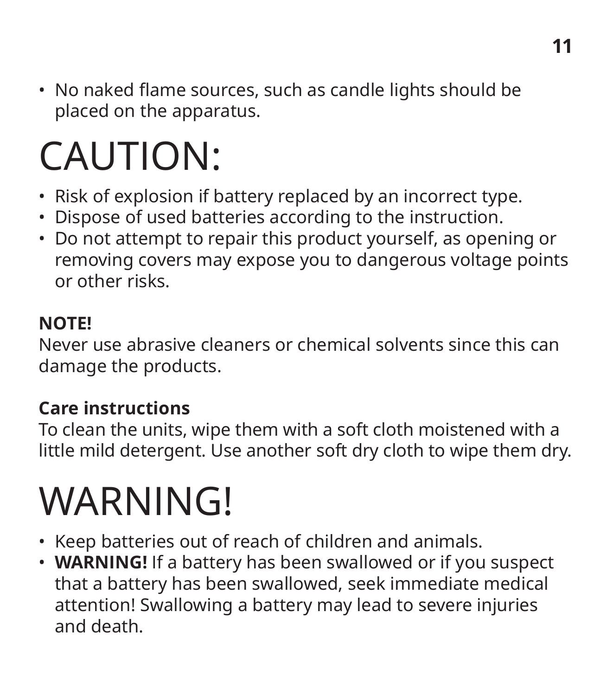• No naked flame sources, such as candle lights should be placed on the apparatus.

### CAUTION:

- Risk of explosion if battery replaced by an incorrect type.
- Dispose of used batteries according to the instruction.
- Do not attempt to repair this product yourself, as opening or removing covers may expose you to dangerous voltage points or other risks.

#### **NOTE!**

Never use abrasive cleaners or chemical solvents since this can damage the products.

### **Care instructions**

To clean the units, wipe them with a soft cloth moistened with a little mild detergent. Use another soft dry cloth to wipe them dry.

### **WARNING!**

- Keep batteries out of reach of children and animals.
- **WARNING!** If a battery has been swallowed or if you suspect that a battery has been swallowed, seek immediate medical attention! Swallowing a battery may lead to severe injuries and death.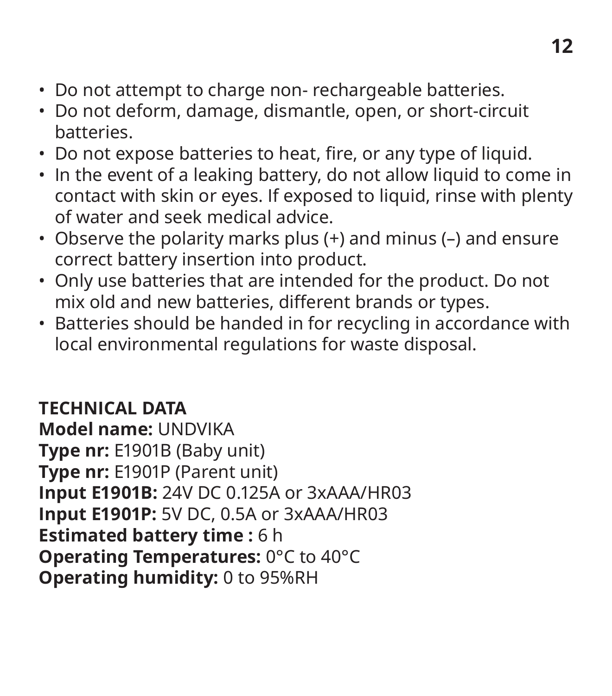- Do not attempt to charge non- rechargeable batteries.
- Do not deform, damage, dismantle, open, or short-circuit batteries.
- Do not expose batteries to heat, fire, or any type of liquid.
- In the event of a leaking battery, do not allow liquid to come in contact with skin or eyes. If exposed to liquid, rinse with plenty of water and seek medical advice.
- Observe the polarity marks plus (+) and minus (–) and ensure correct battery insertion into product.
- Only use batteries that are intended for the product. Do not mix old and new batteries, different brands or types.
- Batteries should be handed in for recycling in accordance with local environmental regulations for waste disposal.

**TECHNICAL DATA Model name:** UNDVIKA **Type nr:** E1901B (Baby unit) **Type nr:** E1901P (Parent unit) **Input E1901B:** 24V DC 0.125A or 3xAAA/HR03 **Input E1901P:** 5V DC, 0.5A or 3xAAA/HR03 **Estimated battery time: 6 h Operating Temperatures:** 0°C to 40°C **Operating humidity:** 0 to 95%RH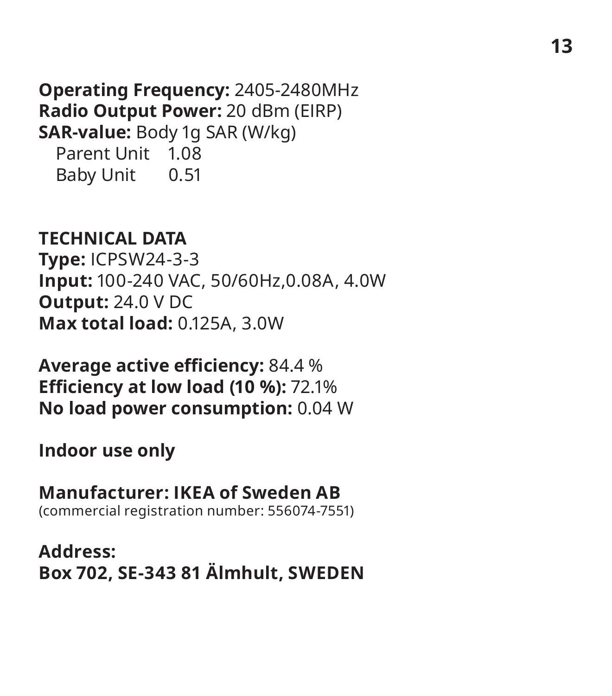**Operating Frequency:** 2405-2480MHz **Radio Output Power:** 20 dBm (EIRP) **SAR-value:** Body 1g SAR (W/kg) Parent Unit 1.08 Baby Unit 0.51

**TECHNICAL DATA**

**Type:** ICPSW24-3-3 **Input:** 100-240 VAC, 50/60Hz,0.08A, 4.0W **Output:** 24.0 V DC **Max total load:** 0.125A, 3.0W

**Average active efficiency:** 84.4 % **Efficiency at low load (10 %):** 72.1% **No load power consumption:** 0.04 W

**Indoor use only**

**Manufacturer: IKEA of Sweden AB** (commercial registration number: 556074-7551)

**Address: Box 702, SE-343 81 Älmhult, SWEDEN**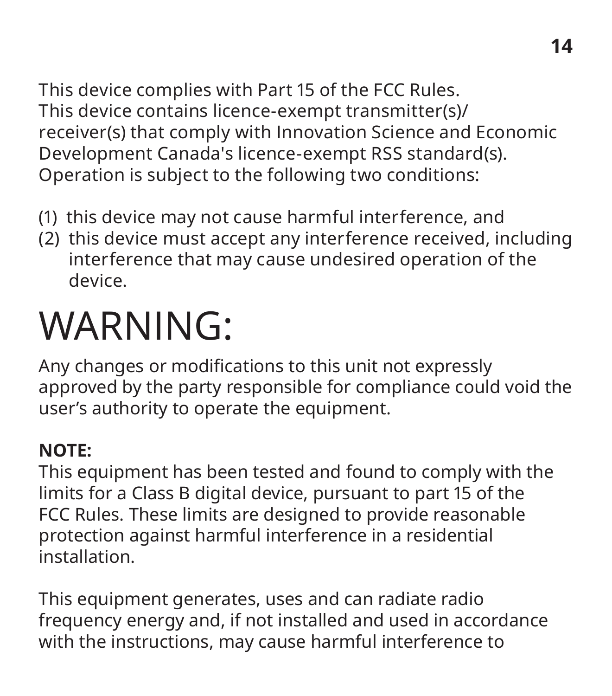This device complies with Part 15 of the FCC Rules. This device contains licence-exempt transmitter(s)/ receiver(s) that comply with Innovation Science and Economic Development Canada's licence-exempt RSS standard(s). Operation is subject to the following two conditions:

- (1) this device may not cause harmful interference, and
- (2) this device must accept any interference received, including interference that may cause undesired operation of the device.

### WARNING:

Any changes or modifications to this unit not expressly approved by the party responsible for compliance could void the user's authority to operate the equipment.

### **NOTE:**

This equipment has been tested and found to comply with the limits for a Class B digital device, pursuant to part 15 of the FCC Rules. These limits are designed to provide reasonable protection against harmful interference in a residential installation.

This equipment generates, uses and can radiate radio frequency energy and, if not installed and used in accordance with the instructions, may cause harmful interference to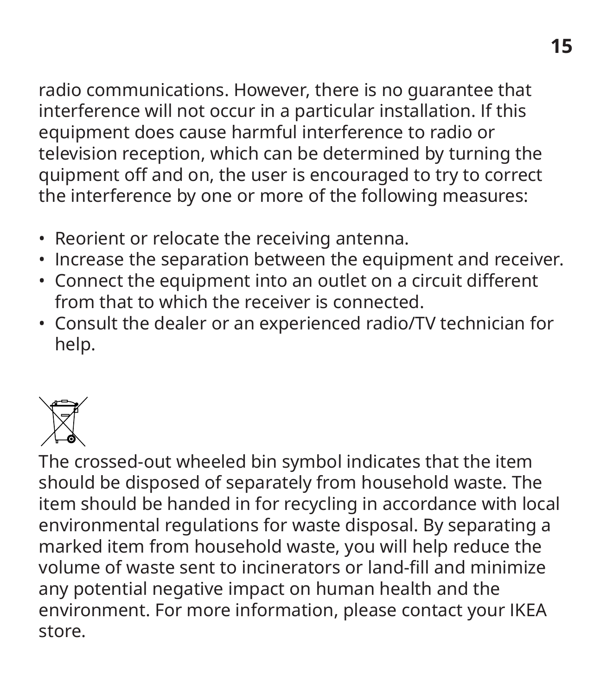radio communications. However, there is no guarantee that interference will not occur in a particular installation. If this equipment does cause harmful interference to radio or television reception, which can be determined by turning the quipment off and on, the user is encouraged to try to correct the interference by one or more of the following measures:

- Reorient or relocate the receiving antenna.
- Increase the separation between the equipment and receiver.
- Connect the equipment into an outlet on a circuit different from that to which the receiver is connected.
- Consult the dealer or an experienced radio/TV technician for help.



The crossed-out wheeled bin symbol indicates that the item should be disposed of separately from household waste. The item should be handed in for recycling in accordance with local environmental regulations for waste disposal. By separating a marked item from household waste, you will help reduce the volume of waste sent to incinerators or land-fill and minimize any potential negative impact on human health and the environment. For more information, please contact your IKEA store.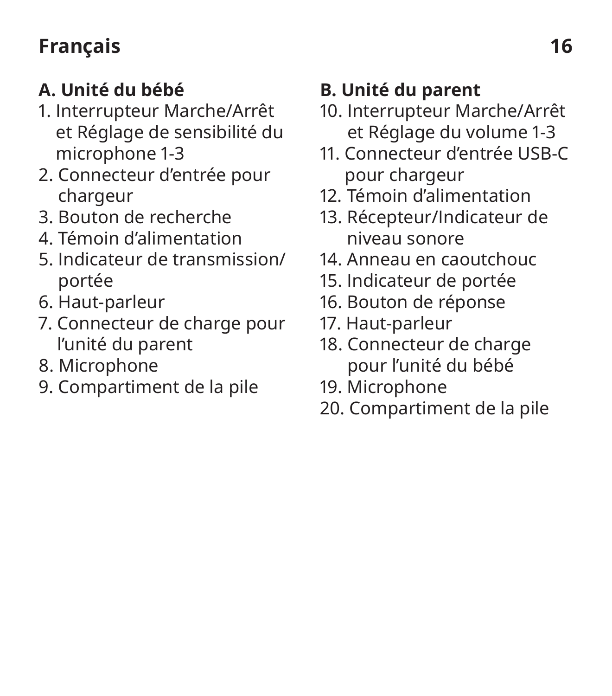### **Français 16**

### **A. Unité du bébé**

- 1. Interrupteur Marche/Arrêt et Réglage de sensibilité du microphone 1-3
- 2. Connecteur d'entrée pour chargeur
- 3. Bouton de recherche
- 4. Témoin d'alimentation
- 5. Indicateur de transmission/ portée
- 6. Haut-parleur
- 7. Connecteur de charge pour l'unité du parent
- 8. Microphone
- 9. Compartiment de la pile

### **B. Unité du parent**

- 10. Interrupteur Marche/Arrêt et Réglage du volume 1-3
- 11. Connecteur d'entrée USB-C pour chargeur
- 12. Témoin d'alimentation
- 13. Récepteur/Indicateur de niveau sonore
- 14. Anneau en caoutchouc
- 15. Indicateur de portée
- 16. Bouton de réponse
- 17. Haut-parleur
- 18. Connecteur de charge pour l'unité du bébé
- 19. Microphone
- 20. Compartiment de la pile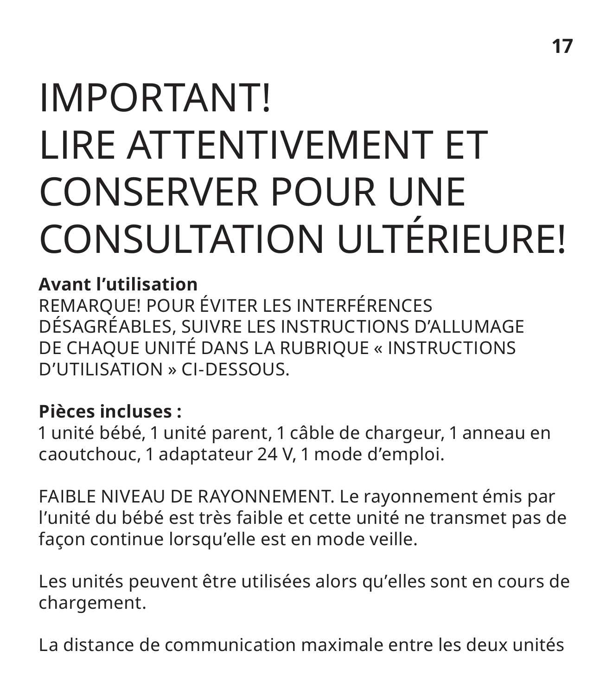### IMPORTANT! LIRE ATTENTIVEMENT ET CONSERVER POUR UNE CONSULTATION ULTÉRIEURE!

### **Avant l'utilisation**

REMARQUE! POUR ÉVITER LES INTERFÉRENCES DÉSAGRÉABLES, SUIVRE LES INSTRUCTIONS D'ALLUMAGE DE CHAQUE UNITÉ DANS LA RUBRIQUE « INSTRUCTIONS D'UTILISATION » CI-DESSOUS.

### **Pièces incluses :**

1 unité bébé, 1 unité parent, 1 câble de chargeur, 1 anneau en caoutchouc, 1 adaptateur 24 V, 1 mode d'emploi.

FAIBLE NIVEAU DE RAYONNEMENT. Le rayonnement émis par l'unité du bébé est très faible et cette unité ne transmet pas de façon continue lorsqu'elle est en mode veille.

Les unités peuvent être utilisées alors qu'elles sont en cours de chargement.

La distance de communication maximale entre les deux unités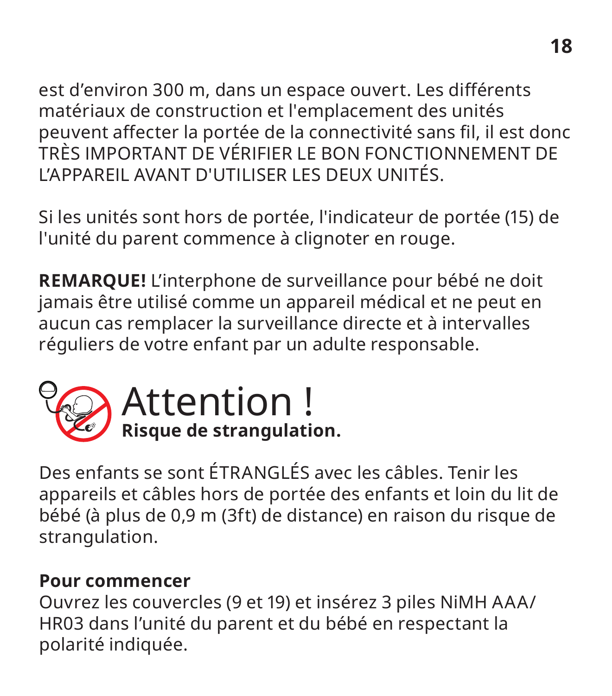est d'environ 300 m, dans un espace ouvert. Les différents matériaux de construction et l'emplacement des unités peuvent affecter la portée de la connectivité sans fil, il est donc TRÈS IMPORTANT DE VÉRIFIER LE BON FONCTIONNEMENT DE L'APPAREIL AVANT D'UTILISER LES DEUX UNITÉS.

Si les unités sont hors de portée, l'indicateur de portée (15) de l'unité du parent commence à clignoter en rouge.

**REMARQUE!** L'interphone de surveillance pour bébé ne doit jamais être utilisé comme un appareil médical et ne peut en aucun cas remplacer la surveillance directe et à intervalles réguliers de votre enfant par un adulte responsable.



### Attention ! **Risque de strangulation.**

Des enfants se sont ÉTRANGLÉS avec les câbles. Tenir les appareils et câbles hors de portée des enfants et loin du lit de bébé (à plus de 0,9 m (3ft) de distance) en raison du risque de strangulation.

#### **Pour commencer**

Ouvrez les couvercles (9 et 19) et insérez 3 piles NiMH AAA/ HR03 dans l'unité du parent et du bébé en respectant la polarité indiquée.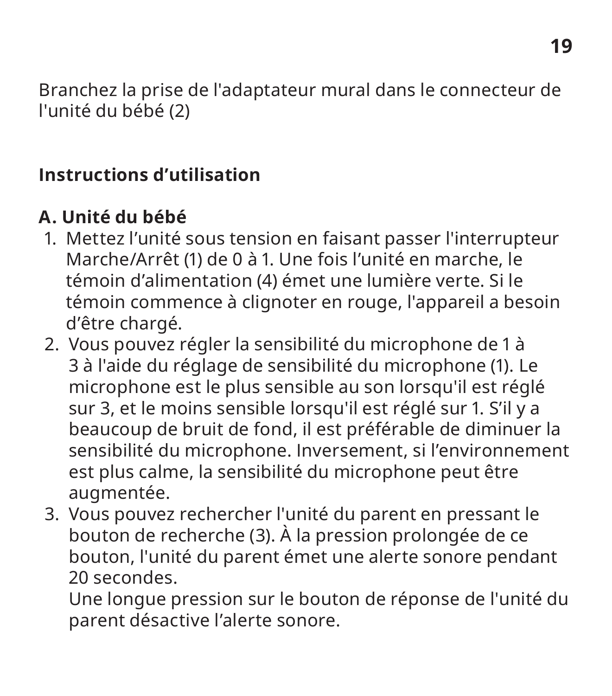Branchez la prise de l'adaptateur mural dans le connecteur de l'unité du bébé (2)

### **Instructions d'utilisation**

### **A. Unité du bébé**

- 1. Mettez l'unité sous tension en faisant passer l'interrupteur Marche/Arrêt (1) de 0 à 1. Une fois l'unité en marche, le témoin d'alimentation (4) émet une lumière verte. Si le témoin commence à clignoter en rouge, l'appareil a besoin d'être chargé.
- 2. Vous pouvez régler la sensibilité du microphone de 1 à 3 à l'aide du réglage de sensibilité du microphone (1). Le microphone est le plus sensible au son lorsqu'il est réglé sur 3, et le moins sensible lorsqu'il est réglé sur 1. S'il y a beaucoup de bruit de fond, il est préférable de diminuer la sensibilité du microphone. Inversement, si l'environnement est plus calme, la sensibilité du microphone peut être augmentée.
- 3. Vous pouvez rechercher l'unité du parent en pressant le bouton de recherche (3). À la pression prolongée de ce bouton, l'unité du parent émet une alerte sonore pendant 20 secondes.

Une longue pression sur le bouton de réponse de l'unité du parent désactive l'alerte sonore.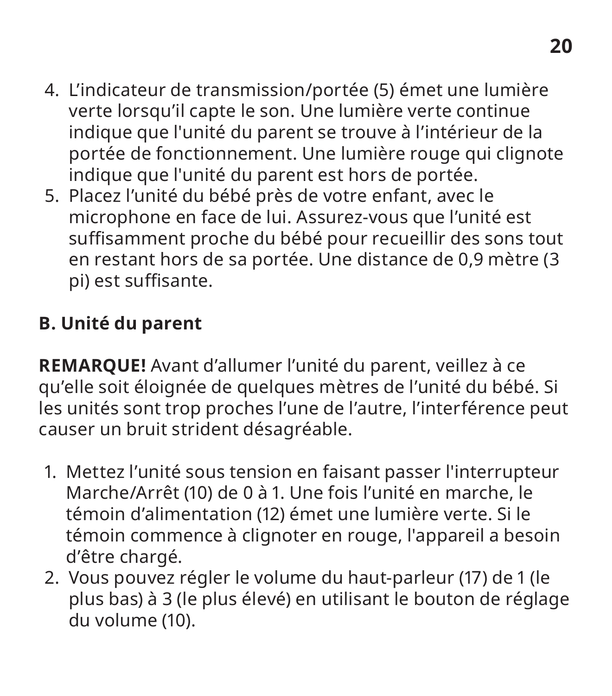- 4. L'indicateur de transmission/portée (5) émet une lumière verte lorsqu'il capte le son. Une lumière verte continue indique que l'unité du parent se trouve à l'intérieur de la portée de fonctionnement. Une lumière rouge qui clignote indique que l'unité du parent est hors de portée.
- 5. Placez l'unité du bébé près de votre enfant, avec le microphone en face de lui. Assurez-vous que l'unité est suffisamment proche du bébé pour recueillir des sons tout en restant hors de sa portée. Une distance de 0,9 mètre (3 pi) est suffisante.

### **B. Unité du parent**

**REMARQUE!** Avant d'allumer l'unité du parent, veillez à ce qu'elle soit éloignée de quelques mètres de l'unité du bébé. Si les unités sont trop proches l'une de l'autre, l'interférence peut causer un bruit strident désagréable.

- 1. Mettez l'unité sous tension en faisant passer l'interrupteur Marche/Arrêt (10) de 0 à 1. Une fois l'unité en marche, le témoin d'alimentation (12) émet une lumière verte. Si le témoin commence à clignoter en rouge, l'appareil a besoin d'être chargé.
- 2. Vous pouvez régler le volume du haut-parleur (17) de 1 (le plus bas) à 3 (le plus élevé) en utilisant le bouton de réglage du volume (10).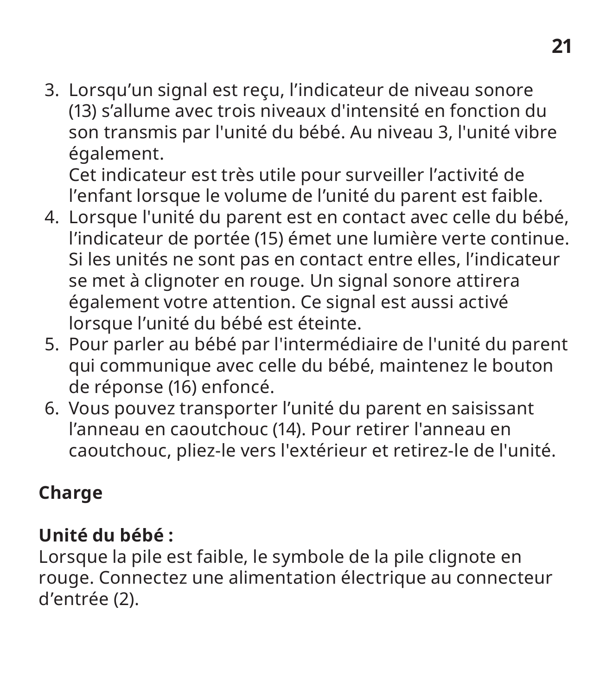3. Lorsqu'un signal est reçu, l'indicateur de niveau sonore (13) s'allume avec trois niveaux d'intensité en fonction du son transmis par l'unité du bébé. Au niveau 3, l'unité vibre également.

Cet indicateur est très utile pour surveiller l'activité de l'enfant lorsque le volume de l'unité du parent est faible.

- 4. Lorsque l'unité du parent est en contact avec celle du bébé, l'indicateur de portée (15) émet une lumière verte continue. Si les unités ne sont pas en contact entre elles, l'indicateur se met à clignoter en rouge. Un signal sonore attirera également votre attention. Ce signal est aussi activé lorsque l'unité du bébé est éteinte.
- 5. Pour parler au bébé par l'intermédiaire de l'unité du parent qui communique avec celle du bébé, maintenez le bouton de réponse (16) enfoncé.
- 6. Vous pouvez transporter l'unité du parent en saisissant l'anneau en caoutchouc (14). Pour retirer l'anneau en caoutchouc, pliez-le vers l'extérieur et retirez-le de l'unité.

### **Charge**

### **Unité du bébé :**

Lorsque la pile est faible, le symbole de la pile clignote en rouge. Connectez une alimentation électrique au connecteur d'entrée (2).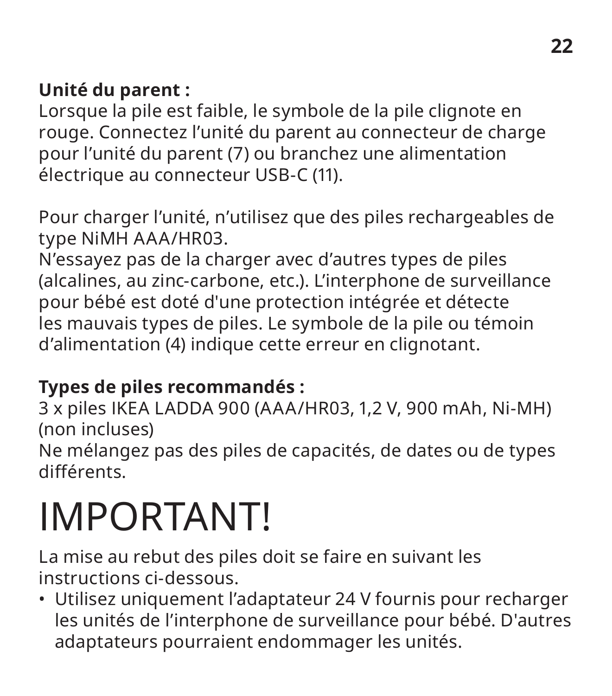### **Unité du parent :**

Lorsque la pile est faible, le symbole de la pile clignote en rouge. Connectez l'unité du parent au connecteur de charge pour l'unité du parent (7) ou branchez une alimentation électrique au connecteur USB-C (11).

Pour charger l'unité, n'utilisez que des piles rechargeables de type NiMH AAA/HR03.

N'essayez pas de la charger avec d'autres types de piles (alcalines, au zinc-carbone, etc.). L'interphone de surveillance pour bébé est doté d'une protection intégrée et détecte les mauvais types de piles. Le symbole de la pile ou témoin d'alimentation (4) indique cette erreur en clignotant.

### **Types de piles recommandés :**

3 x piles IKEA LADDA 900 (AAA/HR03, 1,2 V, 900 mAh, Ni-MH) (non incluses)

Ne mélangez pas des piles de capacités, de dates ou de types différents.

### IMPORTANT!

La mise au rebut des piles doit se faire en suivant les instructions ci-dessous.

• Utilisez uniquement l'adaptateur 24 V fournis pour recharger les unités de l'interphone de surveillance pour bébé. D'autres adaptateurs pourraient endommager les unités.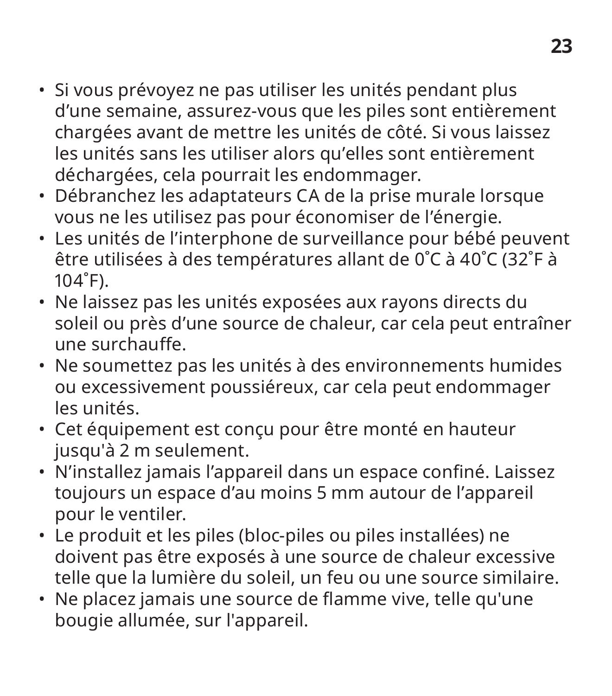- Si vous prévoyez ne pas utiliser les unités pendant plus d'une semaine, assurez-vous que les piles sont entièrement chargées avant de mettre les unités de côté. Si vous laissez les unités sans les utiliser alors qu'elles sont entièrement déchargées, cela pourrait les endommager.
- Débranchez les adaptateurs CA de la prise murale lorsque vous ne les utilisez pas pour économiser de l'énergie.
- Les unités de l'interphone de surveillance pour bébé peuvent être utilisées à des températures allant de 0˚C à 40˚C (32˚F à 104˚F).
- Ne laissez pas les unités exposées aux rayons directs du soleil ou près d'une source de chaleur, car cela peut entraîner une surchauffe.
- Ne soumettez pas les unités à des environnements humides ou excessivement poussiéreux, car cela peut endommager les unités.
- Cet équipement est conçu pour être monté en hauteur jusqu'à 2 m seulement.
- N'installez jamais l'appareil dans un espace confiné. Laissez toujours un espace d'au moins 5 mm autour de l'appareil pour le ventiler.
- Le produit et les piles (bloc-piles ou piles installées) ne doivent pas être exposés à une source de chaleur excessive telle que la lumière du soleil, un feu ou une source similaire.
- Ne placez jamais une source de flamme vive, telle qu'une bougie allumée, sur l'appareil.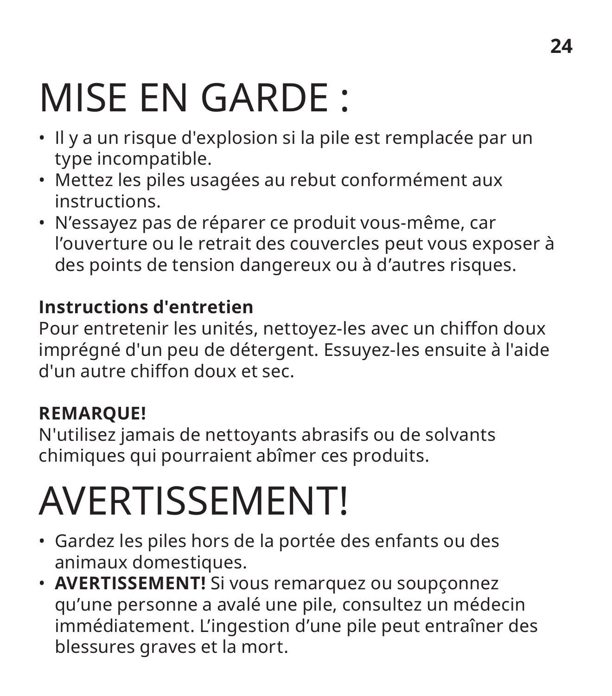### **24**

### MISE EN GARDE :

- Il y a un risque d'explosion si la pile est remplacée par un type incompatible.
- Mettez les piles usagées au rebut conformément aux instructions.
- N'essayez pas de réparer ce produit vous-même, car l'ouverture ou le retrait des couvercles peut vous exposer à des points de tension dangereux ou à d'autres risques.

#### **Instructions d'entretien**

Pour entretenir les unités, nettoyez-les avec un chiffon doux imprégné d'un peu de détergent. Essuyez-les ensuite à l'aide d'un autre chiffon doux et sec.

### **REMARQUE!**

N'utilisez jamais de nettoyants abrasifs ou de solvants chimiques qui pourraient abîmer ces produits.

### AVERTISSEMENT!

- Gardez les piles hors de la portée des enfants ou des animaux domestiques.
- **AVERTISSEMENT!** Si vous remarquez ou soupçonnez qu'une personne a avalé une pile, consultez un médecin immédiatement. L'ingestion d'une pile peut entraîner des blessures graves et la mort.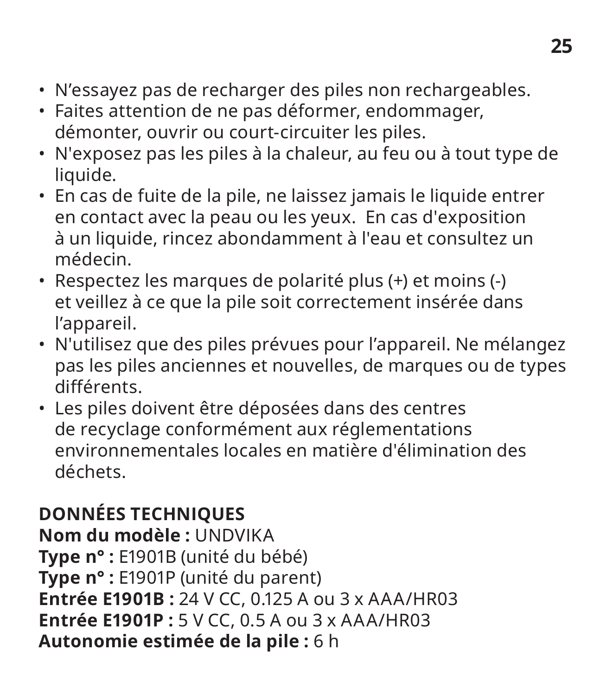- N'essayez pas de recharger des piles non rechargeables.
- Faites attention de ne pas déformer, endommager, démonter, ouvrir ou court-circuiter les piles.
- N'exposez pas les piles à la chaleur, au feu ou à tout type de liquide.
- En cas de fuite de la pile, ne laissez jamais le liquide entrer en contact avec la peau ou les yeux. En cas d'exposition à un liquide, rincez abondamment à l'eau et consultez un médecin.
- Respectez les marques de polarité plus (+) et moins (-) et veillez à ce que la pile soit correctement insérée dans l'appareil.
- N'utilisez que des piles prévues pour l'appareil. Ne mélangez pas les piles anciennes et nouvelles, de marques ou de types différents.
- Les piles doivent être déposées dans des centres de recyclage conformément aux réglementations environnementales locales en matière d'élimination des déchets.

### **DONNÉES TECHNIQUES**

**Nom du modèle :** UNDVIKA **Type n° :** E1901B (unité du bébé) **Type n° :** E1901P (unité du parent) **Entrée E1901B :** 24 V CC, 0.125 A ou 3 x AAA/HR03 **Entrée E1901P :** 5 V CC, 0.5 A ou 3 x AAA/HR03 **Autonomie estimée de la pile :** 6 h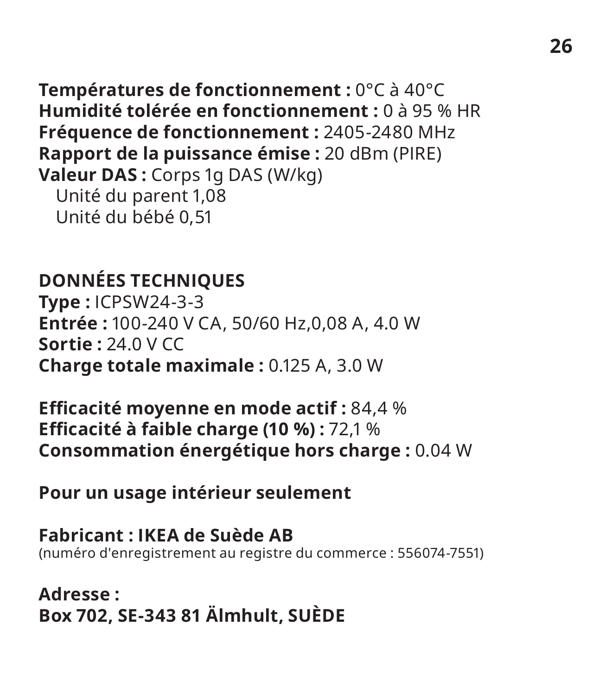**Températures de fonctionnement :** 0°C à 40°C **Humidité tolérée en fonctionnement :** 0 à 95 % HR **Fréquence de fonctionnement :** 2405-2480 MHz **Rapport de la puissance émise :** 20 dBm (PIRE) **Valeur DAS :** Corps 1g DAS (W/kg) Unité du parent 1,08 Unité du bébé 0,51

### **DONNÉES TECHNIQUES**

**Type :** ICPSW24-3-3 **Entrée :** 100-240 V CA, 50/60 Hz,0,08 A, 4.0 W **Sortie :** 24.0 V CC **Charge totale maximale :** 0.125 A, 3.0 W

**Efficacité moyenne en mode actif :** 84,4 % **Efficacité à faible charge (10 %) :** 72,1 % **Consommation énergétique hors charge :** 0.04 W

**Pour un usage intérieur seulement**

**Fabricant : IKEA de Suède AB** (numéro d'enregistrement au registre du commerce : 556074-7551)

**Adresse : Box 702, SE-343 81 Älmhult, SUÈDE**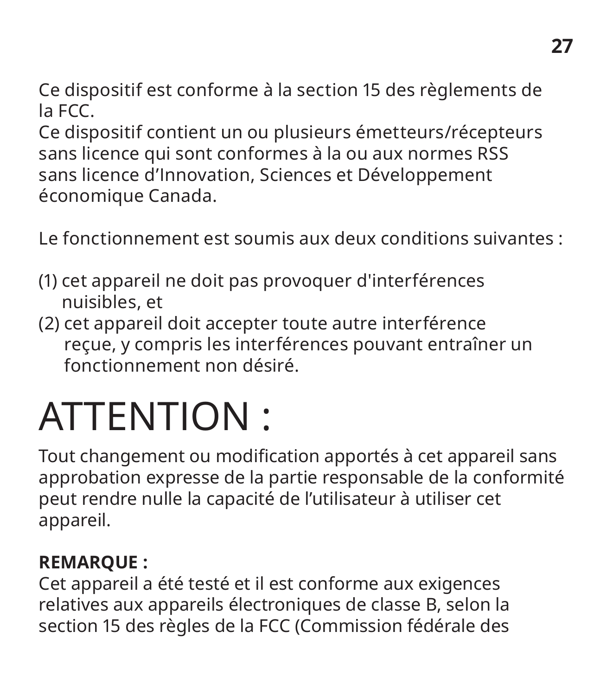Ce dispositif est conforme à la section 15 des règlements de la FCC.

Ce dispositif contient un ou plusieurs émetteurs/récepteurs sans licence qui sont conformes à la ou aux normes RSS sans licence d'Innovation, Sciences et Développement économique Canada.

Le fonctionnement est soumis aux deux conditions suivantes :

- (1) cet appareil ne doit pas provoquer d'interférences nuisibles, et
- (2) cet appareil doit accepter toute autre interférence reçue, y compris les interférences pouvant entraîner un fonctionnement non désiré.

### ATTENTION :

Tout changement ou modification apportés à cet appareil sans approbation expresse de la partie responsable de la conformité peut rendre nulle la capacité de l'utilisateur à utiliser cet appareil.

### **REMARQUE :**

Cet appareil a été testé et il est conforme aux exigences relatives aux appareils électroniques de classe B, selon la section 15 des règles de la FCC (Commission fédérale des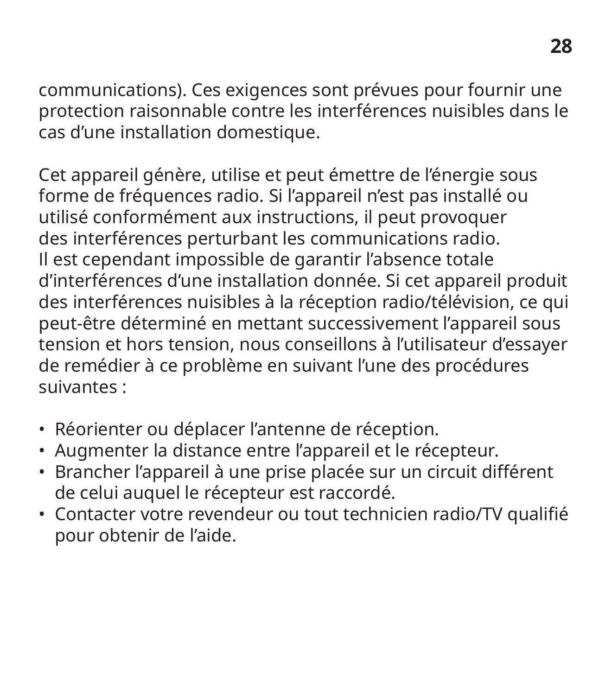communications). Ces exigences sont prévues pour fournir une protection raisonnable contre les interférences nuisibles dans le cas d'une installation domestique.

Cet appareil génère, utilise et peut émettre de l'énergie sous forme de fréquences radio. Si l'appareil n'est pas installé ou utilisé conformément aux instructions, il peut provoquer des interférences perturbant les communications radio. Il est cependant impossible de garantir l'absence totale d'interférences d'une installation donnée. Si cet appareil produit des interférences nuisibles à la réception radio/télévision, ce qui peut-être déterminé en mettant successivement l'appareil sous tension et hors tension, nous conseillons à l'utilisateur d'essayer de remédier à ce problème en suivant l'une des procédures suivantes :

- Réorienter ou déplacer l'antenne de réception.
- Augmenter la distance entre l'appareil et le récepteur.
- Brancher l'appareil à une prise placée sur un circuit différent de celui auquel le récepteur est raccordé.
- Contacter votre revendeur ou tout technicien radio/TV qualifié pour obtenir de l'aide.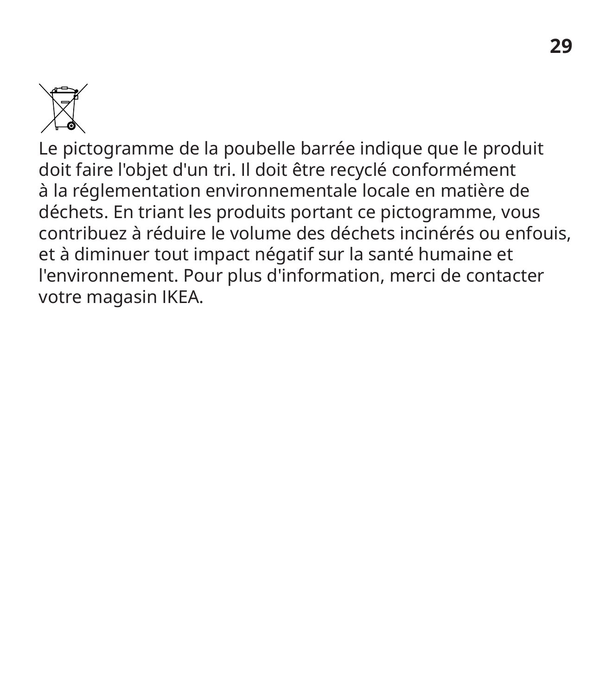

Le pictogramme de la poubelle barrée indique que le produit doit faire l'objet d'un tri. Il doit être recyclé conformément à la réglementation environnementale locale en matière de déchets. En triant les produits portant ce pictogramme, vous contribuez à réduire le volume des déchets incinérés ou enfouis, et à diminuer tout impact négatif sur la santé humaine et l'environnement. Pour plus d'information, merci de contacter votre magasin IKEA.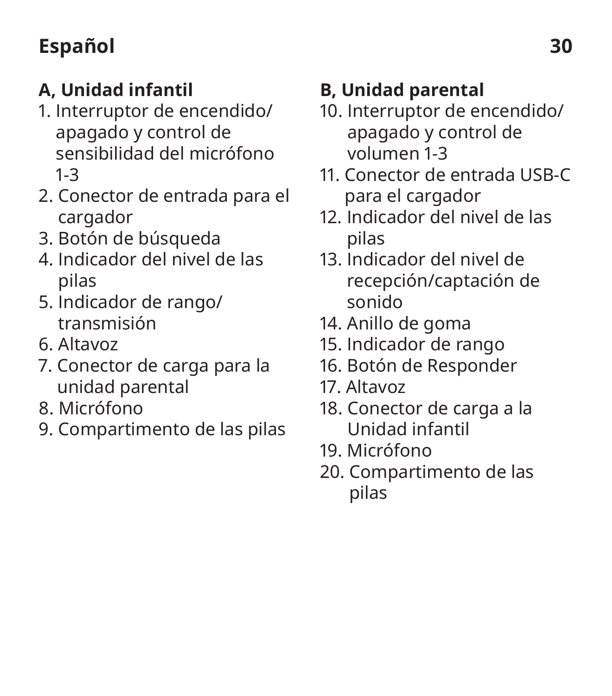### **Español 30**

### **A, Unidad infantil**

- 1. Interruptor de encendido/ apagado y control de sensibilidad del micrófono 1-3
- 2. Conector de entrada para el cargador
- 3. Botón de búsqueda
- 4. Indicador del nivel de las pilas
- 5. Indicador de rango/ transmisión
- 6. Altavoz
- 7. Conector de carga para la unidad parental
- 8. Micrófono
- 9. Compartimento de las pilas

### **B, Unidad parental**

- 10. Interruptor de encendido/ apagado y control de volumen 1-3
- 11. Conector de entrada USB-C para el cargador
- 12. Indicador del nivel de las pilas
- 13. Indicador del nivel de recepción/captación de sonido
- 14. Anillo de goma
- 15. Indicador de rango
- 16. Botón de Responder
- 17. Altavoz
- 18. Conector de carga a la Unidad infantil
- 19. Micrófono
- 20. Compartimento de las pilas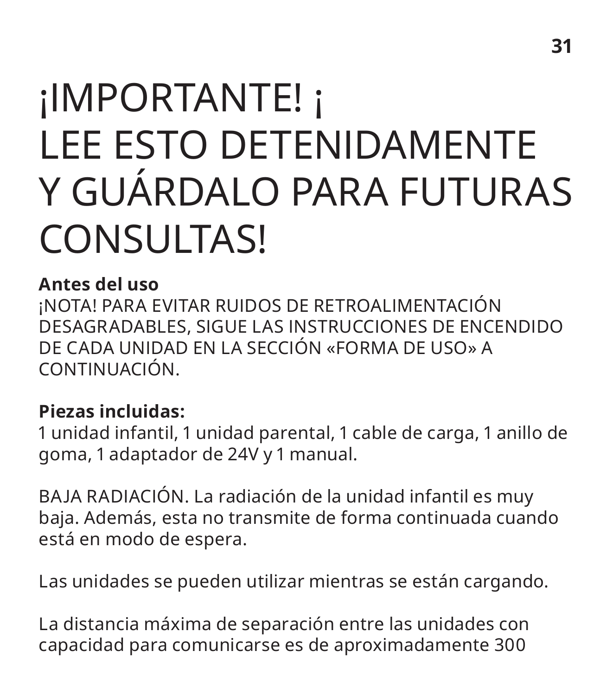### ¡IMPORTANTE! ¡ LEE ESTO DETENIDAMENTE Y GUÁRDALO PARA FUTURAS CONSULTAS!

#### **Antes del uso**

¡NOTA! PARA EVITAR RUIDOS DE RETROALIMENTACIÓN DESAGRADABLES, SIGUE LAS INSTRUCCIONES DE ENCENDIDO DE CADA UNIDAD EN LA SECCIÓN «FORMA DE USO» A CONTINUACIÓN.

### **Piezas incluidas:**

1 unidad infantil, 1 unidad parental, 1 cable de carga, 1 anillo de goma, 1 adaptador de 24V y 1 manual.

BAJA RADIACIÓN. La radiación de la unidad infantil es muy baja. Además, esta no transmite de forma continuada cuando está en modo de espera.

Las unidades se pueden utilizar mientras se están cargando.

La distancia máxima de separación entre las unidades con capacidad para comunicarse es de aproximadamente 300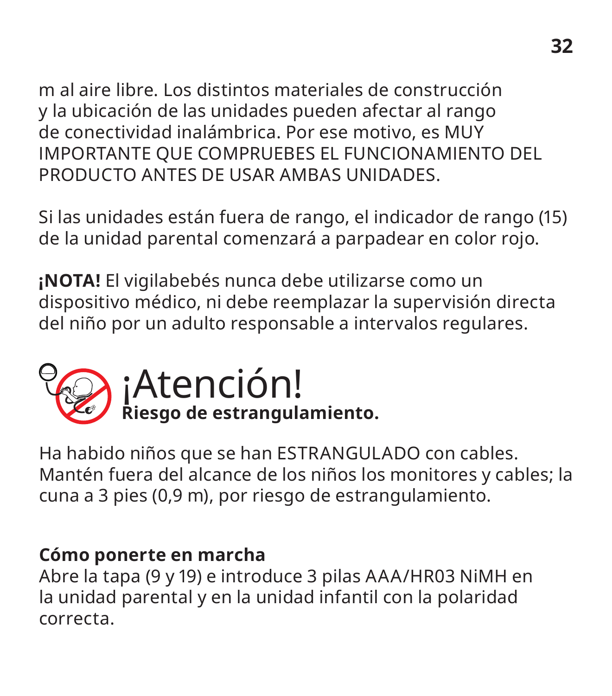m al aire libre. Los distintos materiales de construcción y la ubicación de las unidades pueden afectar al rango de conectividad inalámbrica. Por ese motivo, es MUY IMPORTANTE QUE COMPRUEBES EL FUNCIONAMIENTO DEL PRODUCTO ANTES DE USAR AMBAS UNIDADES.

Si las unidades están fuera de rango, el indicador de rango (15) de la unidad parental comenzará a parpadear en color rojo.

**¡NOTA!** El vigilabebés nunca debe utilizarse como un dispositivo médico, ni debe reemplazar la supervisión directa del niño por un adulto responsable a intervalos regulares.



Ha habido niños que se han ESTRANGULADO con cables. Mantén fuera del alcance de los niños los monitores y cables; la cuna a 3 pies (0,9 m), por riesgo de estrangulamiento.

#### **Cómo ponerte en marcha**

Abre la tapa (9 y 19) e introduce 3 pilas AAA/HR03 NiMH en la unidad parental y en la unidad infantil con la polaridad correcta.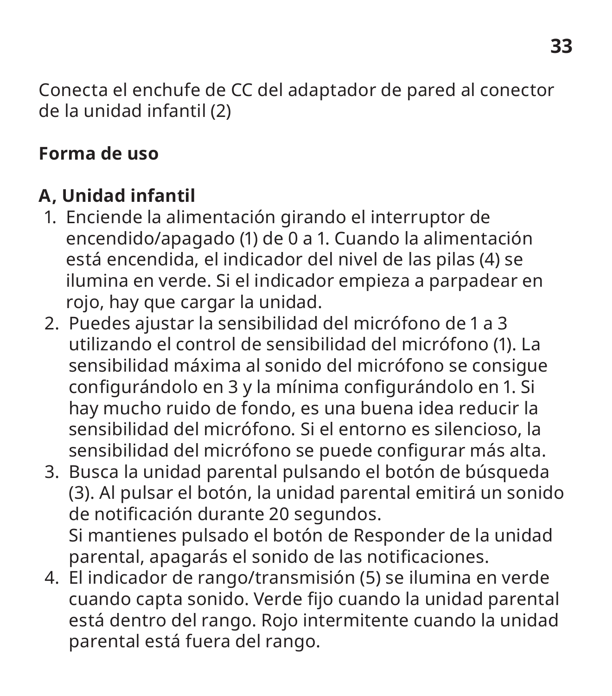Conecta el enchufe de CC del adaptador de pared al conector de la unidad infantil (2)

### **Forma de uso**

### **A, Unidad infantil**

- 1. Enciende la alimentación girando el interruptor de encendido/apagado (1) de 0 a 1. Cuando la alimentación está encendida, el indicador del nivel de las pilas (4) se ilumina en verde. Si el indicador empieza a parpadear en rojo, hay que cargar la unidad.
- 2. Puedes ajustar la sensibilidad del micrófono de 1 a 3 utilizando el control de sensibilidad del micrófono (1). La sensibilidad máxima al sonido del micrófono se consigue configurándolo en 3 y la mínima configurándolo en 1. Si hay mucho ruido de fondo, es una buena idea reducir la sensibilidad del micrófono. Si el entorno es silencioso, la sensibilidad del micrófono se puede configurar más alta.
- 3. Busca la unidad parental pulsando el botón de búsqueda (3). Al pulsar el botón, la unidad parental emitirá un sonido de notificación durante 20 segundos. Si mantienes pulsado el botón de Responder de la unidad parental, apagarás el sonido de las notificaciones.
- 4. El indicador de rango/transmisión (5) se ilumina en verde cuando capta sonido. Verde fijo cuando la unidad parental está dentro del rango. Rojo intermitente cuando la unidad parental está fuera del rango.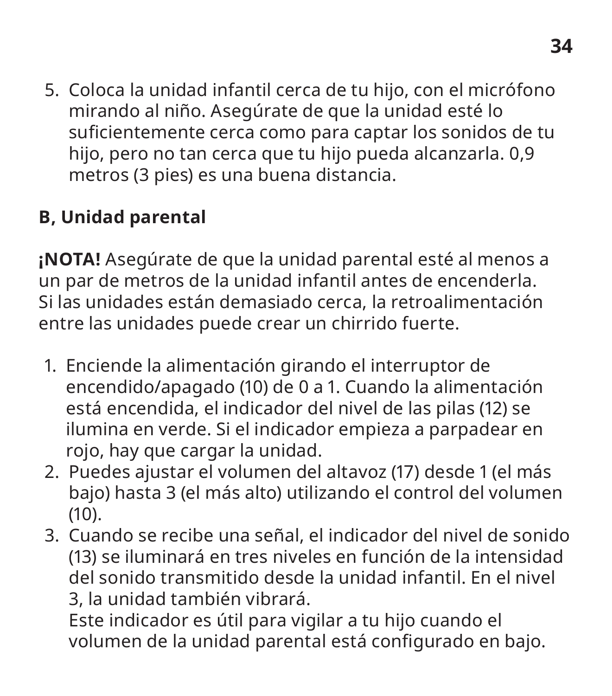5. Coloca la unidad infantil cerca de tu hijo, con el micrófono mirando al niño. Asegúrate de que la unidad esté lo suficientemente cerca como para captar los sonidos de tu hijo, pero no tan cerca que tu hijo pueda alcanzarla. 0,9 metros (3 pies) es una buena distancia.

### **B, Unidad parental**

**¡NOTA!** Asegúrate de que la unidad parental esté al menos a un par de metros de la unidad infantil antes de encenderla. Si las unidades están demasiado cerca, la retroalimentación entre las unidades puede crear un chirrido fuerte.

- 1. Enciende la alimentación girando el interruptor de encendido/apagado (10) de 0 a 1. Cuando la alimentación está encendida, el indicador del nivel de las pilas (12) se ilumina en verde. Si el indicador empieza a parpadear en rojo, hay que cargar la unidad.
- 2. Puedes ajustar el volumen del altavoz (17) desde 1 (el más bajo) hasta 3 (el más alto) utilizando el control del volumen (10).
- 3. Cuando se recibe una señal, el indicador del nivel de sonido (13) se iluminará en tres niveles en función de la intensidad del sonido transmitido desde la unidad infantil. En el nivel 3, la unidad también vibrará.

Este indicador es útil para vigilar a tu hijo cuando el volumen de la unidad parental está configurado en bajo.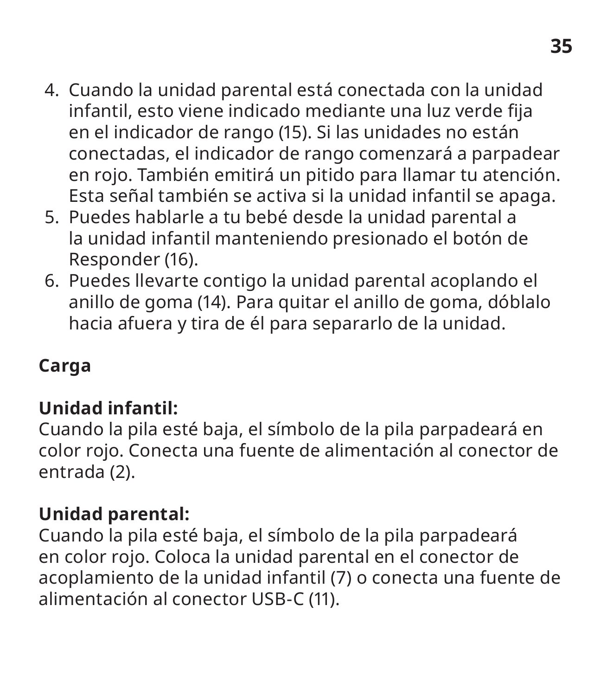- 4. Cuando la unidad parental está conectada con la unidad infantil, esto viene indicado mediante una luz verde fija en el indicador de rango (15). Si las unidades no están conectadas, el indicador de rango comenzará a parpadear en rojo. También emitirá un pitido para llamar tu atención. Esta señal también se activa si la unidad infantil se apaga.
- 5. Puedes hablarle a tu bebé desde la unidad parental a la unidad infantil manteniendo presionado el botón de Responder (16).
- 6. Puedes llevarte contigo la unidad parental acoplando el anillo de goma (14). Para quitar el anillo de goma, dóblalo hacia afuera y tira de él para separarlo de la unidad.

### **Carga**

### **Unidad infantil:**

Cuando la pila esté baja, el símbolo de la pila parpadeará en color rojo. Conecta una fuente de alimentación al conector de entrada (2).

### **Unidad parental:**

Cuando la pila esté baja, el símbolo de la pila parpadeará en color rojo. Coloca la unidad parental en el conector de acoplamiento de la unidad infantil (7) o conecta una fuente de alimentación al conector USB-C (11).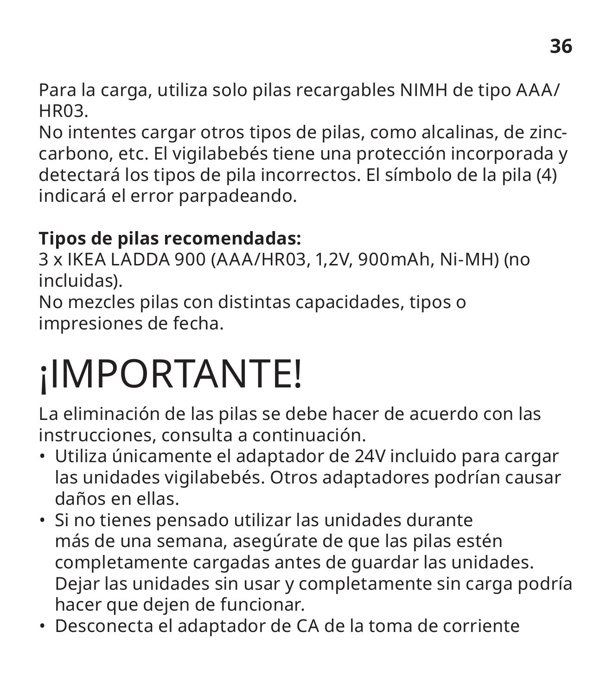Para la carga, utiliza solo pilas recargables NIMH de tipo AAA/ HR03.

No intentes cargar otros tipos de pilas, como alcalinas, de zinccarbono, etc. El vigilabebés tiene una protección incorporada y detectará los tipos de pila incorrectos. El símbolo de la pila (4) indicará el error parpadeando.

### **Tipos de pilas recomendadas:**

3 x IKEA LADDA 900 (AAA/HR03, 1,2V, 900mAh, Ni-MH) (no incluidas).

No mezcles pilas con distintas capacidades, tipos o impresiones de fecha.

### ¡IMPORTANTE!

La eliminación de las pilas se debe hacer de acuerdo con las instrucciones, consulta a continuación.

- Utiliza únicamente el adaptador de 24V incluido para cargar las unidades vigilabebés. Otros adaptadores podrían causar daños en ellas.
- Si no tienes pensado utilizar las unidades durante más de una semana, asegúrate de que las pilas estén completamente cargadas antes de guardar las unidades. Dejar las unidades sin usar y completamente sin carga podría hacer que dejen de funcionar.
- Desconecta el adaptador de CA de la toma de corriente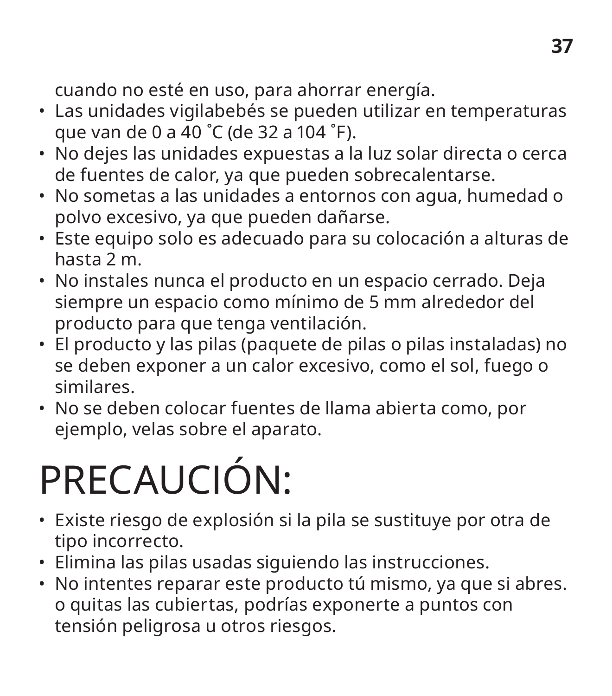cuando no esté en uso, para ahorrar energía.

- Las unidades vigilabebés se pueden utilizar en temperaturas que van de 0 a 40 ˚C (de 32 a 104 ˚F).
- No dejes las unidades expuestas a la luz solar directa o cerca de fuentes de calor, ya que pueden sobrecalentarse.
- No sometas a las unidades a entornos con agua, humedad o polvo excesivo, ya que pueden dañarse.
- Este equipo solo es adecuado para su colocación a alturas de hasta 2 m.
- No instales nunca el producto en un espacio cerrado. Deja siempre un espacio como mínimo de 5 mm alrededor del producto para que tenga ventilación.
- El producto y las pilas (paquete de pilas o pilas instaladas) no se deben exponer a un calor excesivo, como el sol, fuego o similares.
- No se deben colocar fuentes de llama abierta como, por ejemplo, velas sobre el aparato.

### PRECAUCIÓN:

- Existe riesgo de explosión si la pila se sustituye por otra de tipo incorrecto.
- Elimina las pilas usadas siguiendo las instrucciones.
- No intentes reparar este producto tú mismo, ya que si abres. o quitas las cubiertas, podrías exponerte a puntos con tensión peligrosa u otros riesgos.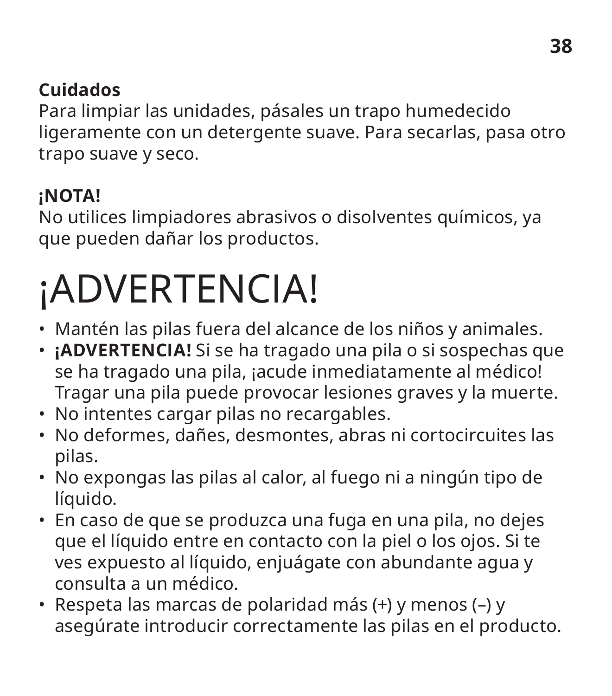### **Cuidados**

Para limpiar las unidades, pásales un trapo humedecido ligeramente con un detergente suave. Para secarlas, pasa otro trapo suave y seco.

### **¡NOTA!**

No utilices limpiadores abrasivos o disolventes químicos, ya que pueden dañar los productos.

### ¡ADVERTENCIA!

- Mantén las pilas fuera del alcance de los niños y animales.
- **¡ADVERTENCIA!** Si se ha tragado una pila o si sospechas que se ha tragado una pila, ¡acude inmediatamente al médico! Tragar una pila puede provocar lesiones graves y la muerte.
- No intentes cargar pilas no recargables.
- No deformes, dañes, desmontes, abras ni cortocircuites las pilas.
- No expongas las pilas al calor, al fuego ni a ningún tipo de líquido.
- En caso de que se produzca una fuga en una pila, no dejes que el líquido entre en contacto con la piel o los ojos. Si te ves expuesto al líquido, enjuágate con abundante agua y consulta a un médico.
- Respeta las marcas de polaridad más (+) y menos (–) y asegúrate introducir correctamente las pilas en el producto.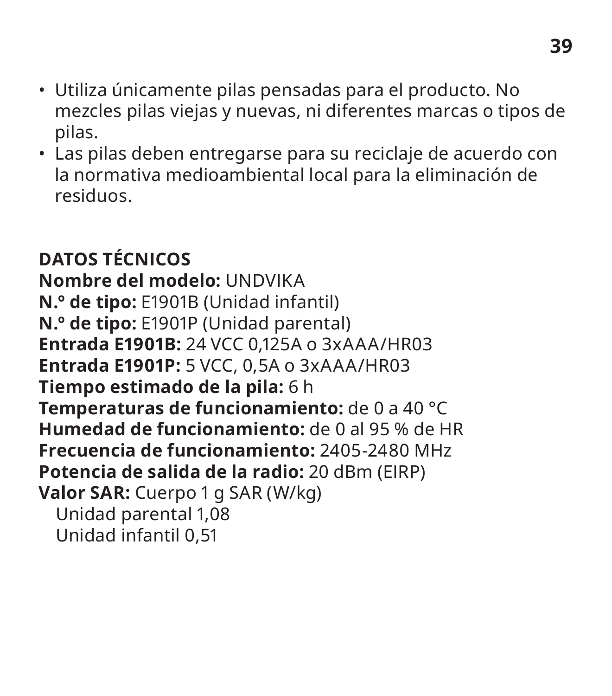- Utiliza únicamente pilas pensadas para el producto. No mezcles pilas viejas y nuevas, ni diferentes marcas o tipos de pilas.
- Las pilas deben entregarse para su reciclaje de acuerdo con la normativa medioambiental local para la eliminación de residuos.

**DATOS TÉCNICOS Nombre del modelo:** UNDVIKA **N.º de tipo:** E1901B (Unidad infantil) **N.º de tipo:** E1901P (Unidad parental) **Entrada E1901B:** 24 VCC 0,125A o 3xAAA/HR03 **Entrada E1901P:** 5 VCC, 0,5A o 3xAAA/HR03 **Tiempo estimado de la pila:** 6 h **Temperaturas de funcionamiento:** de 0 a 40 °C **Humedad de funcionamiento:** de 0 al 95 % de HR **Frecuencia de funcionamiento:** 2405-2480 MHz **Potencia de salida de la radio:** 20 dBm (EIRP) **Valor SAR:** Cuerpo 1 g SAR (W/kg) Unidad parental 1,08 Unidad infantil 0,51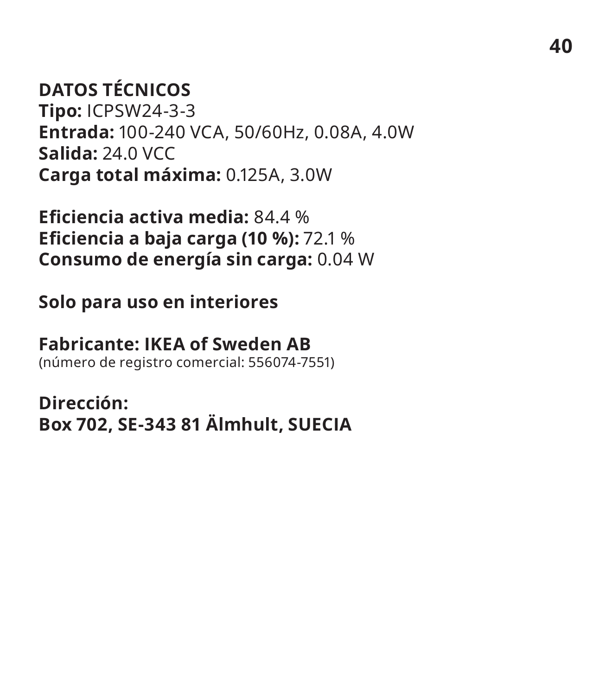### **DATOS TÉCNICOS**

**Tipo:** ICPSW24-3-3 **Entrada:** 100-240 VCA, 50/60Hz, 0.08A, 4.0W **Salida:** 24.0 VCC **Carga total máxima:** 0.125A, 3.0W

**Eficiencia activa media:** 84.4 % **Eficiencia a baja carga (10 %):** 72.1 % **Consumo de energía sin carga:** 0.04 W

#### **Solo para uso en interiores**

#### **Fabricante: IKEA of Sweden AB**

(número de registro comercial: 556074-7551)

**Dirección: Box 702, SE-343 81 Älmhult, SUECIA**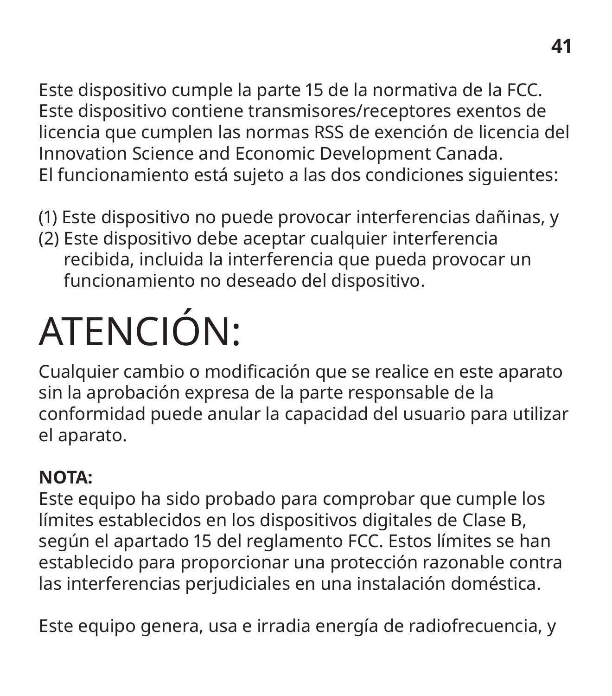Este dispositivo cumple la parte 15 de la normativa de la FCC. Este dispositivo contiene transmisores/receptores exentos de licencia que cumplen las normas RSS de exención de licencia del Innovation Science and Economic Development Canada. El funcionamiento está sujeto a las dos condiciones siguientes:

- (1) Este dispositivo no puede provocar interferencias dañinas, y
- (2) Este dispositivo debe aceptar cualquier interferencia recibida, incluida la interferencia que pueda provocar un funcionamiento no deseado del dispositivo.

## ATENCIÓN:

Cualquier cambio o modificación que se realice en este aparato sin la aprobación expresa de la parte responsable de la conformidad puede anular la capacidad del usuario para utilizar el aparato.

### **NOTA:**

Este equipo ha sido probado para comprobar que cumple los límites establecidos en los dispositivos digitales de Clase B, según el apartado 15 del reglamento FCC. Estos límites se han establecido para proporcionar una protección razonable contra las interferencias perjudiciales en una instalación doméstica.

Este equipo genera, usa e irradia energía de radiofrecuencia, y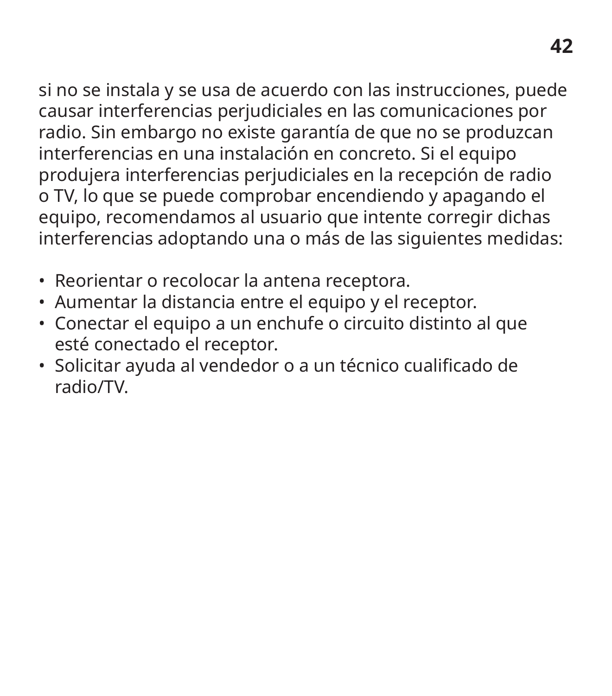si no se instala y se usa de acuerdo con las instrucciones, puede causar interferencias perjudiciales en las comunicaciones por radio. Sin embargo no existe garantía de que no se produzcan interferencias en una instalación en concreto. Si el equipo produjera interferencias perjudiciales en la recepción de radio o TV, lo que se puede comprobar encendiendo y apagando el equipo, recomendamos al usuario que intente corregir dichas interferencias adoptando una o más de las siguientes medidas:

- Reorientar o recolocar la antena receptora.
- Aumentar la distancia entre el equipo y el receptor.
- Conectar el equipo a un enchufe o circuito distinto al que esté conectado el receptor.
- Solicitar ayuda al vendedor o a un técnico cualificado de radio/TV.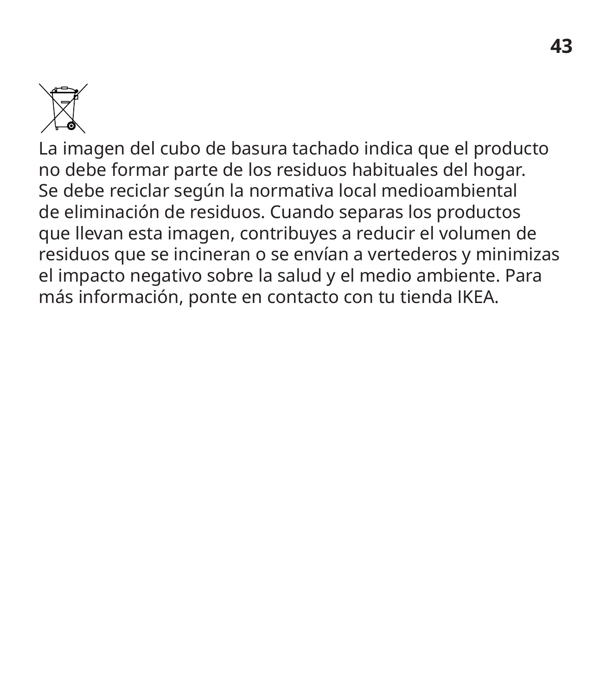

La imagen del cubo de basura tachado indica que el producto no debe formar parte de los residuos habituales del hogar. Se debe reciclar según la normativa local medioambiental de eliminación de residuos. Cuando separas los productos que llevan esta imagen, contribuyes a reducir el volumen de residuos que se incineran o se envían a vertederos y minimizas el impacto negativo sobre la salud y el medio ambiente. Para más información, ponte en contacto con tu tienda IKEA.